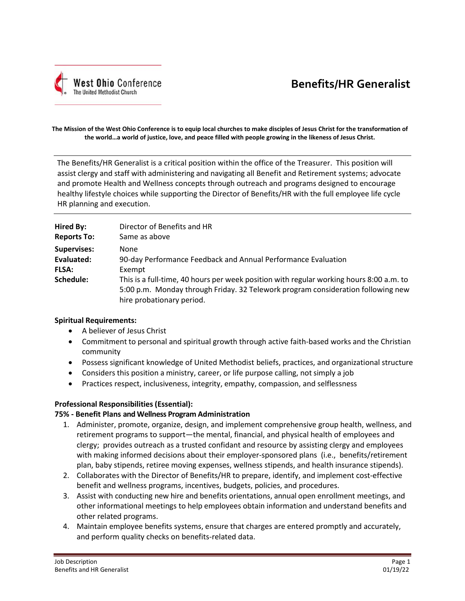

# **Benefits/HR Generalist**

#### **The Mission of the West Ohio Conference is to equip local churches to make disciples of Jesus Christ for the transformation of the world…a world of justice, love, and peace filled with people growing in the likeness of Jesus Christ.**

The Benefits/HR Generalist is a critical position within the office of the Treasurer. This position will assist clergy and staff with administering and navigating all Benefit and Retirement systems; advocate and promote Health and Wellness concepts through outreach and programs designed to encourage healthy lifestyle choices while supporting the Director of Benefits/HR with the full employee life cycle HR planning and execution.

| Hired By:                 | Director of Benefits and HR                                                                                                                                                                                        |
|---------------------------|--------------------------------------------------------------------------------------------------------------------------------------------------------------------------------------------------------------------|
| <b>Reports To:</b>        | Same as above                                                                                                                                                                                                      |
| <b>Supervises:</b>        | None                                                                                                                                                                                                               |
| Evaluated:                | 90-day Performance Feedback and Annual Performance Evaluation                                                                                                                                                      |
| <b>FLSA:</b><br>Schedule: | Exempt<br>This is a full-time, 40 hours per week position with regular working hours 8:00 a.m. to<br>5:00 p.m. Monday through Friday. 32 Telework program consideration following new<br>hire probationary period. |

### **Spiritual Requirements:**

- A believer of Jesus Christ
- Commitment to personal and spiritual growth through active faith-based works and the Christian community
- Possess significant knowledge of United Methodist beliefs, practices, and organizational structure
- Considers this position a ministry, career, or life purpose calling, not simply a job
- Practices respect, inclusiveness, integrity, empathy, compassion, and selflessness

### **Professional Responsibilities (Essential):**

### **75% - Benefit Plans and Wellness Program Administration**

- 1. Administer, promote, organize, design, and implement comprehensive group health, wellness, and retirement programs to support—the mental, financial, and physical health of employees and clergy; provides outreach as a trusted confidant and resource by assisting clergy and employees with making informed decisions about their employer-sponsored plans (i.e., benefits/retirement plan, baby stipends, retiree moving expenses, wellness stipends, and health insurance stipends).
- 2. Collaborates with the Director of Benefits/HR to prepare, identify, and implement cost-effective benefit and wellness programs, incentives, budgets, policies, and procedures.
- 3. Assist with conducting new hire and benefits orientations, annual open enrollment meetings, and other informational meetings to help employees obtain information and understand benefits and other related programs.
- 4. Maintain employee benefits systems, ensure that charges are entered promptly and accurately, and perform quality checks on benefits-related data.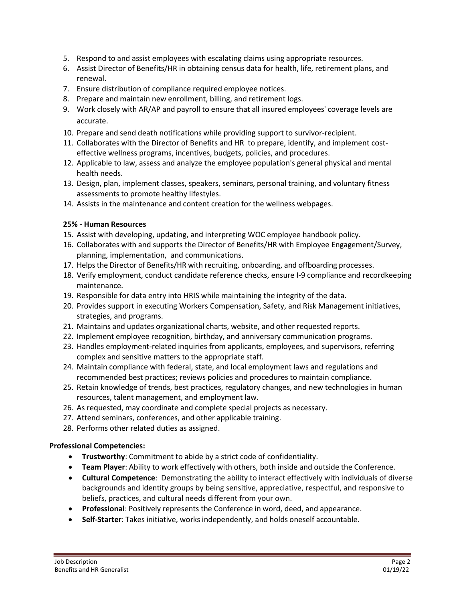- 5. Respond to and assist employees with escalating claims using appropriate resources.
- 6. Assist Director of Benefits/HR in obtaining census data for health, life, retirement plans, and renewal.
- 7. Ensure distribution of compliance required employee notices.
- 8. Prepare and maintain new enrollment, billing, and retirement logs.
- 9. Work closely with AR/AP and payroll to ensure that all insured employees' coverage levels are accurate.
- 10. Prepare and send death notifications while providing support to survivor-recipient.
- 11. Collaborates with the Director of Benefits and HR to prepare, identify, and implement costeffective wellness programs, incentives, budgets, policies, and procedures.
- 12. Applicable to law, assess and analyze the employee population's general physical and mental health needs.
- 13. Design, plan, implement classes, speakers, seminars, personal training, and voluntary fitness assessments to promote healthy lifestyles.
- 14. Assists in the maintenance and content creation for the wellness webpages.

### **25% - Human Resources**

- 15. Assist with developing, updating, and interpreting WOC employee handbook policy.
- 16. Collaborates with and supports the Director of Benefits/HR with Employee Engagement/Survey, planning, implementation, and communications.
- 17. Helps the Director of Benefits/HR with recruiting, onboarding, and offboarding processes.
- 18. Verify employment, conduct candidate reference checks, ensure I-9 compliance and recordkeeping maintenance.
- 19. Responsible for data entry into HRIS while maintaining the integrity of the data.
- 20. Provides support in executing Workers Compensation, Safety, and Risk Management initiatives, strategies, and programs.
- 21. Maintains and updates organizational charts, website, and other requested reports.
- 22. Implement employee recognition, birthday, and anniversary communication programs.
- 23. Handles employment-related inquiries from applicants, employees, and supervisors, referring complex and sensitive matters to the appropriate staff.
- 24. Maintain compliance with federal, state, and local employment laws and regulations and recommended best practices; reviews policies and procedures to maintain compliance.
- 25. Retain knowledge of trends, best practices, regulatory changes, and new technologies in human resources, talent management, and employment law.
- 26. As requested, may coordinate and complete special projects as necessary.
- 27. Attend seminars, conferences, and other applicable training.
- 28. Performs other related duties as assigned.

## **Professional Competencies:**

- **Trustworthy**: Commitment to abide by a strict code of confidentiality.
- **Team Player**: Ability to work effectively with others, both inside and outside the Conference.
- **Cultural Competence**: Demonstrating the ability to interact effectively with individuals of diverse backgrounds and [identity groups](https://lovehasnolabels.com/resources/glossary/#identity-group) by being sensitive, appreciative, respectful, and responsive to beliefs, practices, and cultural needs different from your own.
- **Professional**: Positively represents the Conference in word, deed, and appearance.
- **Self-Starter**: Takes initiative, works independently, and holds oneself accountable.